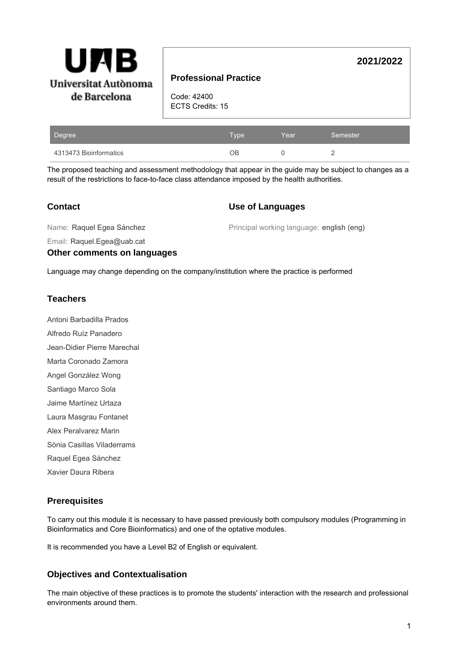

## **Professional Practice**

Code: 42400 ECTS Credits: 15

| Degree                 | <b>N</b> vpe | Year | Semester |
|------------------------|--------------|------|----------|
| 4313473 Bioinformatics | OВ           |      |          |

The proposed teaching and assessment methodology that appear in the guide may be subject to changes as a result of the restrictions to face-to-face class attendance imposed by the health authorities.

### **Contact**

#### **Use of Languages**

Name: Raquel Egea Sánchez

Principal working language: english (eng)

**2021/2022**

Email: Raquel.Egea@uab.cat

#### **Other comments on languages**

Language may change depending on the company/institution where the practice is performed

#### **Teachers**

Antoni Barbadilla Prados Alfredo Ruíz Panadero Jean-Didier Pierre Marechal Marta Coronado Zamora Angel González Wong Santiago Marco Sola Jaime Martínez Urtaza

- Laura Masgrau Fontanet
- Alex Peralvarez Marin
- Sònia Casillas Viladerrams
- Raquel Egea Sánchez
- Xavier Daura Ribera

## **Prerequisites**

To carry out this module it is necessary to have passed previously both compulsory modules (Programming in Bioinformatics and Core Bioinformatics) and one of the optative modules.

It is recommended you have a Level B2 of English or equivalent.

## **Objectives and Contextualisation**

The main objective of these practices is to promote the students' interaction with the research and professional environments around them.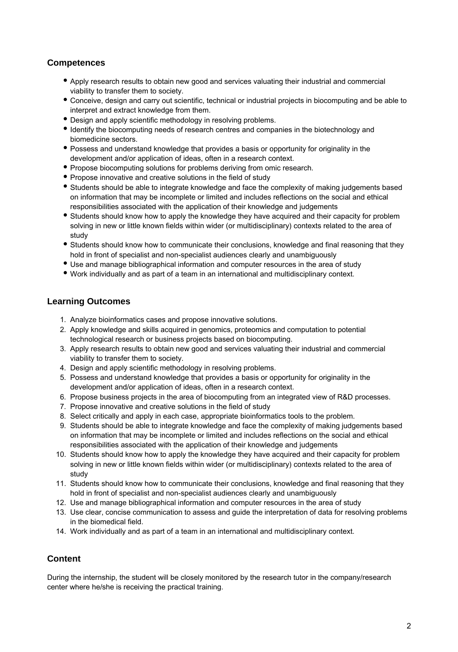## **Competences**

- Apply research results to obtain new good and services valuating their industrial and commercial viability to transfer them to society.
- Conceive, design and carry out scientific, technical or industrial projects in biocomputing and be able to interpret and extract knowledge from them.
- Design and apply scientific methodology in resolving problems.
- Identify the biocomputing needs of research centres and companies in the biotechnology and biomedicine sectors.
- Possess and understand knowledge that provides a basis or opportunity for originality in the development and/or application of ideas, often in a research context.
- Propose biocomputing solutions for problems deriving from omic research.
- Propose innovative and creative solutions in the field of study
- Students should be able to integrate knowledge and face the complexity of making judgements based on information that may be incomplete or limited and includes reflections on the social and ethical responsibilities associated with the application of their knowledge and judgements
- Students should know how to apply the knowledge they have acquired and their capacity for problem solving in new or little known fields within wider (or multidisciplinary) contexts related to the area of study
- Students should know how to communicate their conclusions, knowledge and final reasoning that they hold in front of specialist and non-specialist audiences clearly and unambiguously
- Use and manage bibliographical information and computer resources in the area of study
- Work individually and as part of a team in an international and multidisciplinary context.

#### **Learning Outcomes**

- 1. Analyze bioinformatics cases and propose innovative solutions.
- 2. Apply knowledge and skills acquired in genomics, proteomics and computation to potential technological research or business projects based on biocomputing.
- 3. Apply research results to obtain new good and services valuating their industrial and commercial viability to transfer them to society.
- 4. Design and apply scientific methodology in resolving problems.
- 5. Possess and understand knowledge that provides a basis or opportunity for originality in the development and/or application of ideas, often in a research context.
- 6. Propose business projects in the area of biocomputing from an integrated view of R&D processes.
- 7. Propose innovative and creative solutions in the field of study
- 8. Select critically and apply in each case, appropriate bioinformatics tools to the problem.
- 9. Students should be able to integrate knowledge and face the complexity of making judgements based on information that may be incomplete or limited and includes reflections on the social and ethical responsibilities associated with the application of their knowledge and judgements
- 10. Students should know how to apply the knowledge they have acquired and their capacity for problem solving in new or little known fields within wider (or multidisciplinary) contexts related to the area of study
- 11. Students should know how to communicate their conclusions, knowledge and final reasoning that they hold in front of specialist and non-specialist audiences clearly and unambiguously
- 12. Use and manage bibliographical information and computer resources in the area of study
- 13. Use clear, concise communication to assess and guide the interpretation of data for resolving problems in the biomedical field.
- 14. Work individually and as part of a team in an international and multidisciplinary context.

## **Content**

During the internship, the student will be closely monitored by the research tutor in the company/research center where he/she is receiving the practical training.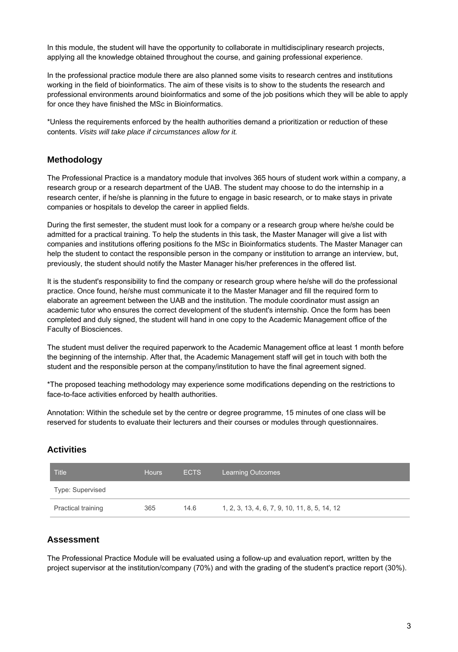In this module, the student will have the opportunity to collaborate in multidisciplinary research projects, applying all the knowledge obtained throughout the course, and gaining professional experience.

In the professional practice module there are also planned some visits to research centres and institutions working in the field of bioinformatics. The aim of these visits is to show to the students the research and professional environments around bioinformatics and some of the job positions which they will be able to apply for once they have finished the MSc in Bioinformatics.

\*Unless the requirements enforced by the health authorities demand a prioritization or reduction of these contents. Visits will take place if circumstances allow for it.

### **Methodology**

The Professional Practice is a mandatory module that involves 365 hours of student work within a company, a research group or a research department of the UAB. The student may choose to do the internship in a research center, if he/she is planning in the future to engage in basic research, or to make stays in private companies or hospitals to develop the career in applied fields.

During the first semester, the student must look for a company or a research group where he/she could be admitted for a practical training. To help the students in this task, the Master Manager will give a list with companies and institutions offering positions fo the MSc in Bioinformatics students. The Master Manager can help the student to contact the responsible person in the company or institution to arrange an interview, but, previously, the student should notify the Master Manager his/her preferences in the offered list.

It is the student's responsibility to find the company or research group where he/she will do the professional practice. Once found, he/she must communicate it to the Master Manager and fill the required form to elaborate an agreement between the UAB and the institution. The module coordinator must assign an academic tutor who ensures the correct development of the student's internship. Once the form has been completed and duly signed, the student will hand in one copy to the Academic Management office of the Faculty of Biosciences.

The student must deliver the required paperwork to the Academic Management office at least 1 month before the beginning of the internship. After that, the Academic Management staff will get in touch with both the student and the responsible person at the company/institution to have the final agreement signed.

\*The proposed teaching methodology may experience some modifications depending on the restrictions to face-to-face activities enforced by health authorities.

Annotation: Within the schedule set by the centre or degree programme, 15 minutes of one class will be reserved for students to evaluate their lecturers and their courses or modules through questionnaires.

### **Activities**

| <b>Title</b>              | <b>Hours</b> | <b>ECTS</b> | <b>Learning Outcomes</b>                      |  |  |
|---------------------------|--------------|-------------|-----------------------------------------------|--|--|
| Type: Supervised          |              |             |                                               |  |  |
| <b>Practical training</b> | 365          | 14.6        | 1, 2, 3, 13, 4, 6, 7, 9, 10, 11, 8, 5, 14, 12 |  |  |

#### **Assessment**

The Professional Practice Module will be evaluated using a follow-up and evaluation report, written by the project supervisor at the institution/company (70%) and with the grading of the student's practice report (30%).